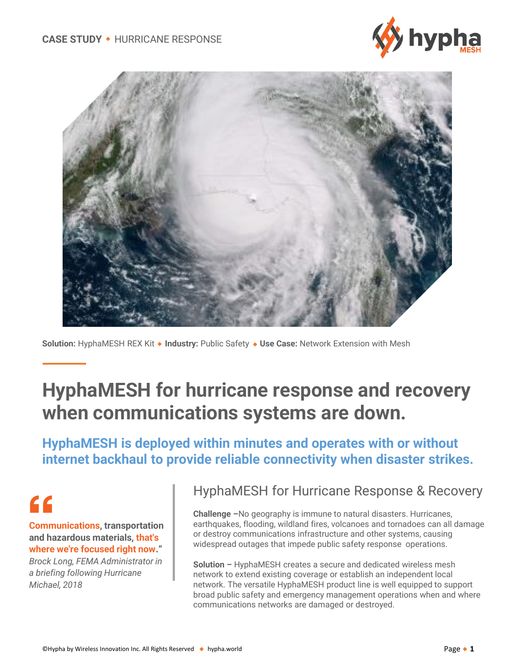



**Solution:** HyphaMESH REX Kit **Industry:** Public Safety **Use Case:** Network Extension with Mesh

## **HyphaMESH for hurricane response and recovery when communications systems are down.**

**HyphaMESH is deployed within minutes and operates with or without internet backhaul to provide reliable connectivity when disaster strikes.**

# $\epsilon$

**Communications, transportation and hazardous materials, that's where we're focused right now."**

*Brock Long, FEMA Administrator in a briefing following Hurricane Michael, 2018*

#### HyphaMESH for Hurricane Response & Recovery

**Challenge –**No geography is immune to natural disasters. Hurricanes, earthquakes, flooding, wildland fires, volcanoes and tornadoes can all damage or destroy communications infrastructure and other systems, causing widespread outages that impede public safety response operations.

**Solution –** HyphaMESH creates a secure and dedicated wireless mesh network to extend existing coverage or establish an independent local network. The versatile HyphaMESH product line is well equipped to support broad public safety and emergency management operations when and where communications networks are damaged or destroyed.